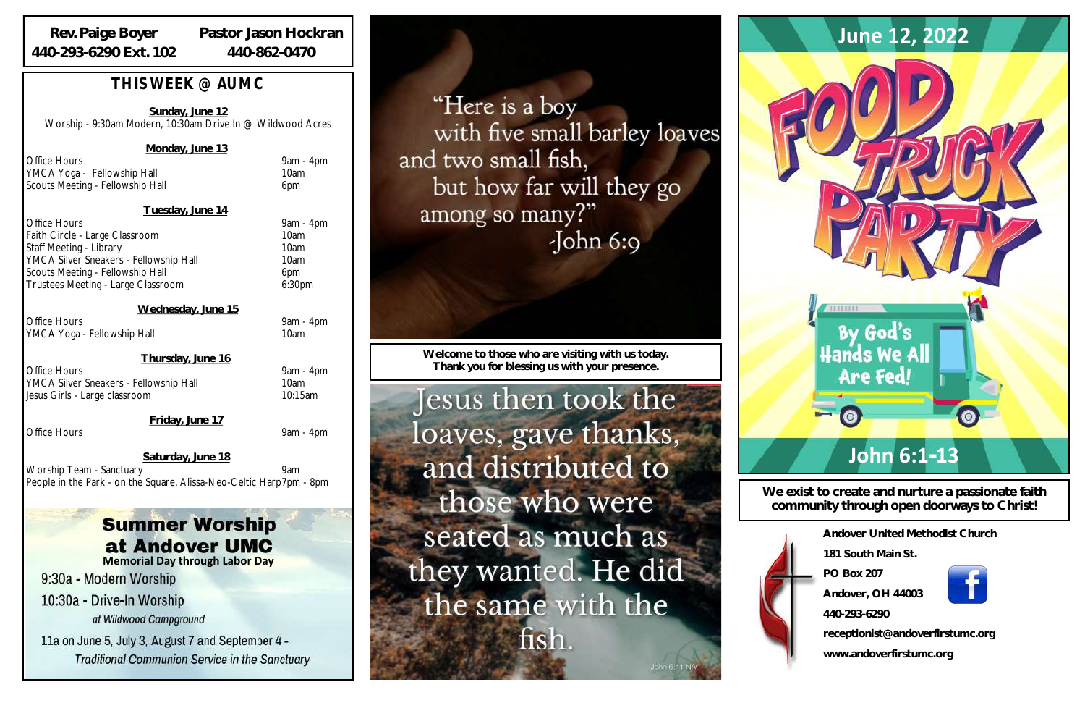| Andover United Methodist Church  |
|----------------------------------|
| 181 South Main St                |
| PO Box 207                       |
| Andover, OH 44003                |
| 440-293-6290                     |
| receptionist@andoverfirstumc.org |
|                                  |

**www.andoverfirstumc.org**

**We exist to create and nurture a passionate faith community through open doorways to Christ!**



**Welcome to those who are visiting with us today. Thank you for blessing us with your presence.**

Jesus then took the loaves, gave thanks, and distributed to those who were seated as much as they wanted. He did the same with the fish.

# *THIS WEEK @ AUMC*

Office Hours **9am - 4pm** Faith Circle - Large Classroom 10am Staff Meeting - Library 10am YMCA Silver Sneakers - Fellowship Hall 10am Scouts Meeting - Fellowship Hall 6pm Trustees Meeting - Large Classroom 6:30pm

**Sunday, June 12** Worship - 9:30am Modern, 10:30am Drive In @ Wildwood Acres

### **Monday, June 13**

Office Hours 9am - 4pm YMCA Yoga - Fellowship Hall 10am Scouts Meeting - Fellowship Hall 6pm

Office Hours 9am - 4pm YMCA Silver Sneakers - Fellowship Hall 10am Jesus Girls - Large classroom 10:15am

#### **Tuesday, June 14**

**Wednesday, June 15**

Office Hours 9am - 4pm YMCA Yoga - Fellowship Hall 10am

#### **Thursday, June 16**

**Friday, June 17**

Office Hours 9am - 4pm

 **Saturday, June 18** Worship Team - Sanctuary 9am People in the Park - on the Square, Alissa-Neo-Celtic Harp7pm - 8pm

# **Summer Worship** at Andover UMC

## **Rev. Paige Boyer 440-293-6290 Ext. 102**

**Pastor Jason Hockran 440-862-0470**

**Memorial Day through Labor Day**

9:30a - Modern Worship

10:30a - Drive-In Worship at Wildwood Campground

11a on June 5, July 3, August 7 and September 4 -**Traditional Communion Service in the Sanctuary** 

"Here is a boy with five small barley loaves and two small fish, but how far will they go among so many?"  $\delta$ John 6:9